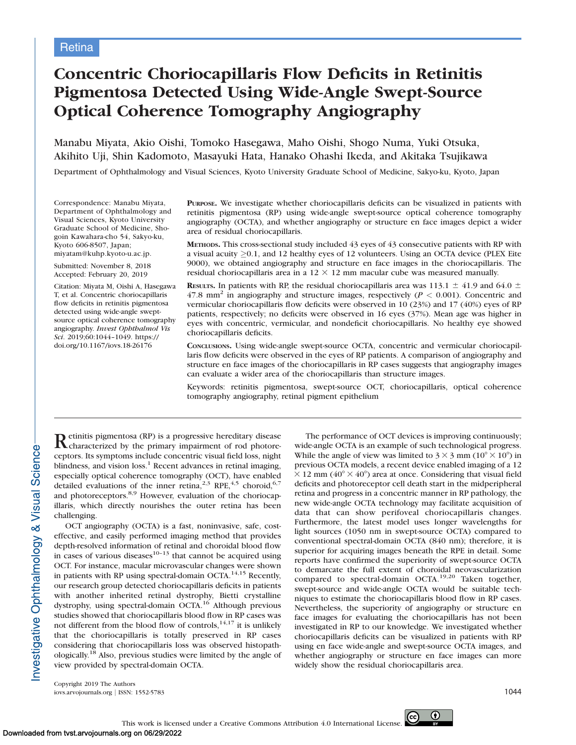# Concentric Choriocapillaris Flow Deficits in Retinitis Pigmentosa Detected Using Wide-Angle Swept-Source Optical Coherence Tomography Angiography

Manabu Miyata, Akio Oishi, Tomoko Hasegawa, Maho Oishi, Shogo Numa, Yuki Otsuka, Akihito Uji, Shin Kadomoto, Masayuki Hata, Hanako Ohashi Ikeda, and Akitaka Tsujikawa

Department of Ophthalmology and Visual Sciences, Kyoto University Graduate School of Medicine, Sakyo-ku, Kyoto, Japan

Correspondence: Manabu Miyata, Department of Ophthalmology and Visual Sciences, Kyoto University Graduate School of Medicine, Shogoin Kawahara-cho 54, Sakyo-ku, Kyoto 606-8507, Japan; miyatam@kuhp.kyoto-u.ac.jp.

Submitted: November 8, 2018 Accepted: February 20, 2019

Citation: Miyata M, Oishi A, Hasegawa T, et al. Concentric choriocapillaris flow deficits in retinitis pigmentosa detected using wide-angle sweptsource optical coherence tomography angiography. Invest Ophthalmol Vis Sci. 2019;60:1044–1049. https:// doi.org/10.1167/iovs.18-26176

PURPOSE. We investigate whether choriocapillaris deficits can be visualized in patients with retinitis pigmentosa (RP) using wide-angle swept-source optical coherence tomography angiography (OCTA), and whether angiography or structure en face images depict a wider area of residual choriocapillaris.

METHODS. This cross-sectional study included 43 eyes of 43 consecutive patients with RP with a visual acuity  $\geq$ 0.1, and 12 healthy eyes of 12 volunteers. Using an OCTA device (PLEX Eite 9000), we obtained angiography and structure en face images in the choriocapillaris. The residual choriocapillaris area in a  $12 \times 12$  mm macular cube was measured manually.

**RESULTS.** In patients with RP, the residual choriocapillaris area was 113.1  $\pm$  41.9 and 64.0  $\pm$ 47.8 mm<sup>2</sup> in angiography and structure images, respectively ( $P < 0.001$ ). Concentric and vermicular choriocapillaris flow deficits were observed in 10 (23%) and 17 (40%) eyes of RP patients, respectively; no deficits were observed in 16 eyes (37%). Mean age was higher in eyes with concentric, vermicular, and nondeficit choriocapillaris. No healthy eye showed choriocapillaris deficits.

CONCLUSIONS. Using wide-angle swept-source OCTA, concentric and vermicular choriocapillaris flow deficits were observed in the eyes of RP patients. A comparison of angiography and structure en face images of the choriocapillaris in RP cases suggests that angiography images can evaluate a wider area of the choriocapillaris than structure images.

Keywords: retinitis pigmentosa, swept-source OCT, choriocapillaris, optical coherence tomography angiography, retinal pigment epithelium

Retinitis pigmentosa (RP) is a progressive hereditary disease characterized by the primary impairment of rod photoreceptors. Its symptoms include concentric visual field loss, night blindness, and vision loss. $<sup>1</sup>$  Recent advances in retinal imaging,</sup> especially optical coherence tomography (OCT), have enabled detailed evaluations of the inner retina,<sup>2,3</sup> RPE,<sup>4,5</sup> choroid,<sup>6,7</sup> and photoreceptors.<sup>8,9</sup> However, evaluation of the choriocapillaris, which directly nourishes the outer retina has been challenging.

OCT angiography (OCTA) is a fast, noninvasive, safe, costeffective, and easily performed imaging method that provides depth-resolved information of retinal and choroidal blood flow in cases of various diseases $10-13$  that cannot be acquired using OCT. For instance, macular microvascular changes were shown in patients with RP using spectral-domain OCTA.<sup>14,15</sup> Recently, our research group detected choriocapillaris deficits in patients with another inherited retinal dystrophy, Bietti crystalline dystrophy, using spectral-domain OCTA.<sup>16</sup> Although previous studies showed that choriocapillaris blood flow in RP cases was not different from the blood flow of controls, $14,17$  it is unlikely that the choriocapillaris is totally preserved in RP cases considering that choriocapillaris loss was observed histopathologically.18 Also, previous studies were limited by the angle of view provided by spectral-domain OCTA.

The performance of OCT devices is improving continuously; wide-angle OCTA is an example of such technological progress. While the angle of view was limited to  $3 \times 3$  mm ( $10^{\circ} \times 10^{\circ}$ ) in previous OCTA models, a recent device enabled imaging of a 12  $\times$  12 mm (40°  $\times$  40°) area at once. Considering that visual field deficits and photoreceptor cell death start in the midperipheral retina and progress in a concentric manner in RP pathology, the new wide-angle OCTA technology may facilitate acquisition of data that can show perifoveal choriocapillaris changes. Furthermore, the latest model uses longer wavelengths for light sources (1050 nm in swept-source OCTA) compared to conventional spectral-domain OCTA (840 nm); therefore, it is superior for acquiring images beneath the RPE in detail. Some reports have confirmed the superiority of swept-source OCTA to demarcate the full extent of choroidal neovascularization compared to spectral-domain OCTA.19,20 Taken together, swept-source and wide-angle OCTA would be suitable techniques to estimate the choriocapillaris blood flow in RP cases. Nevertheless, the superiority of angiography or structure en face images for evaluating the choriocapillaris has not been investigated in RP to our knowledge. We investigated whether choriocapillaris deficits can be visualized in patients with RP using en face wide-angle and swept-source OCTA images, and whether angiography or structure en face images can more widely show the residual choriocapillaris area.

Copyright 2019 The Authors iovs.arvojournals.org | ISSN: 1552-5783 1044

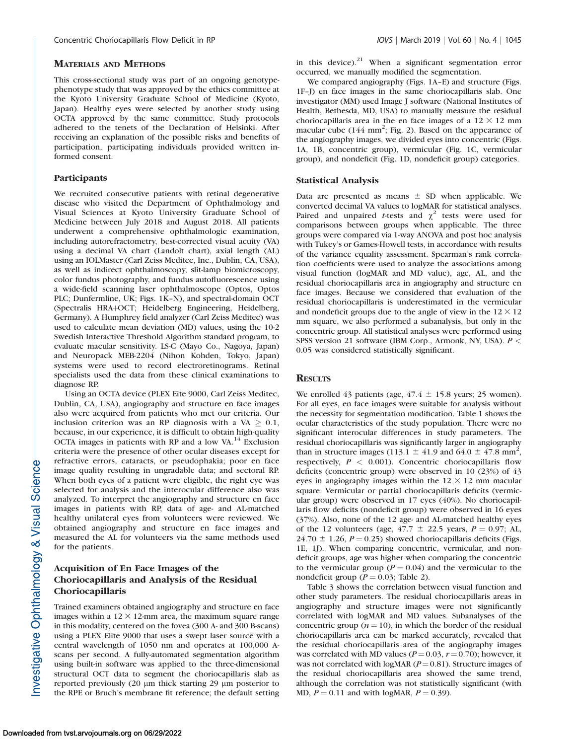#### MATERIALS AND METHODS

This cross-sectional study was part of an ongoing genotypephenotype study that was approved by the ethics committee at the Kyoto University Graduate School of Medicine (Kyoto, Japan). Healthy eyes were selected by another study using OCTA approved by the same committee. Study protocols adhered to the tenets of the Declaration of Helsinki. After receiving an explanation of the possible risks and benefits of participation, participating individuals provided written informed consent.

#### **Participants**

We recruited consecutive patients with retinal degenerative disease who visited the Department of Ophthalmology and Visual Sciences at Kyoto University Graduate School of Medicine between July 2018 and August 2018. All patients underwent a comprehensive ophthalmologic examination, including autorefractometry, best-corrected visual acuity (VA) using a decimal VA chart (Landolt chart), axial length (AL) using an IOLMaster (Carl Zeiss Meditec, Inc., Dublin, CA, USA), as well as indirect ophthalmoscopy, slit-lamp biomicroscopy, color fundus photography, and fundus autofluorescence using a wide-field scanning laser ophthalmoscope (Optos, Optos PLC; Dunfermline, UK; Figs. 1K–N), and spectral-domain OCT (Spectralis HRA+OCT; Heidelberg Engineering, Heidelberg, Germany). A Humphrey field analyzer (Carl Zeiss Meditec) was used to calculate mean deviation (MD) values, using the 10-2 Swedish Interactive Threshold Algorithm standard program, to evaluate macular sensitivity. LS-C (Mayo Co., Nagoya, Japan) and Neuropack MEB-2204 (Nihon Kohden, Tokyo, Japan) systems were used to record electroretinograms. Retinal specialists used the data from these clinical examinations to diagnose RP.

Using an OCTA device (PLEX Eite 9000, Carl Zeiss Meditec, Dublin, CA, USA), angiography and structure en face images also were acquired from patients who met our criteria. Our inclusion criterion was an RP diagnosis with a VA  $\geq 0.1$ , because, in our experience, it is difficult to obtain high-quality OCTA images in patients with RP and a low  $VA<sup>14</sup>$  Exclusion criteria were the presence of other ocular diseases except for refractive errors, cataracts, or pseudophakia; poor en face image quality resulting in ungradable data; and sectoral RP. When both eyes of a patient were eligible, the right eye was selected for analysis and the interocular difference also was analyzed. To interpret the angiography and structure en face images in patients with RP, data of age- and AL-matched healthy unilateral eyes from volunteers were reviewed. We obtained angiography and structure en face images and measured the AL for volunteers via the same methods used for the patients.

# Acquisition of En Face Images of the Choriocapillaris and Analysis of the Residual Choriocapillaris

Trained examiners obtained angiography and structure en face images within a  $12 \times 12$ -mm area, the maximum square range in this modality, centered on the fovea (300 A- and 300 B-scans) using a PLEX Elite 9000 that uses a swept laser source with a central wavelength of 1050 nm and operates at 100,000 Ascans per second. A fully-automated segmentation algorithm using built-in software was applied to the three-dimensional structural OCT data to segment the choriocapillaris slab as reported previously (20  $\mu$ m thick starting 29  $\mu$ m posterior to the RPE or Bruch's membrane fit reference; the default setting in this device). $21$  When a significant segmentation error occurred, we manually modified the segmentation.

We compared angiography (Figs. 1A–E) and structure (Figs. 1F–J) en face images in the same choriocapillaris slab. One investigator (MM) used Image J software (National Institutes of Health, Bethesda, MD, USA) to manually measure the residual choriocapillaris area in the en face images of a  $12 \times 12$  mm macular cube (144 mm<sup>2</sup>; Fig. 2). Based on the appearance of the angiography images, we divided eyes into concentric (Figs. 1A, 1B, concentric group), vermicular (Fig. 1C, vermicular group), and nondeficit (Fig. 1D, nondeficit group) categories.

#### Statistical Analysis

Data are presented as means  $\pm$  SD when applicable. We converted decimal VA values to logMAR for statistical analyses. Paired and unpaired *t*-tests and  $\chi^2$  tests were used for comparisons between groups when applicable. The three groups were compared via 1-way ANOVA and post hoc analysis with Tukey's or Games-Howell tests, in accordance with results of the variance equality assessment. Spearman's rank correlation coefficients were used to analyze the associations among visual function (logMAR and MD value), age, AL, and the residual choriocapillaris area in angiography and structure en face images. Because we considered that evaluation of the residual choriocapillaris is underestimated in the vermicular and nondeficit groups due to the angle of view in the  $12 \times 12$ mm square, we also performed a subanalysis, but only in the concentric group. All statistical analyses were performed using SPSS version 21 software (IBM Corp., Armonk, NY, USA). P < 0.05 was considered statistically significant.

### **RESULTS**

We enrolled 43 patients (age,  $47.4 \pm 15.8$  years; 25 women). For all eyes, en face images were suitable for analysis without the necessity for segmentation modification. Table 1 shows the ocular characteristics of the study population. There were no significant interocular differences in study parameters. The residual choriocapillaris was significantly larger in angiography than in structure images (113.1  $\pm$  41.9 and 64.0  $\pm$  47.8 mm<sup>2</sup>, respectively,  $P < 0.001$ ). Concentric choriocapillaris flow deficits (concentric group) were observed in 10 (23%) of 43 eyes in angiography images within the  $12 \times 12$  mm macular square. Vermicular or partial choriocapillaris deficits (vermicular group) were observed in 17 eyes (40%). No choriocapillaris flow deficits (nondeficit group) were observed in 16 eyes (37%). Also, none of the 12 age- and AL-matched healthy eyes of the 12 volunteers (age,  $47.7 \pm 22.5$  years,  $P = 0.97$ ; AL,  $24.70 \pm 1.26$ ,  $P = 0.25$ ) showed choriocapillaris deficits (Figs. 1E, 1J). When comparing concentric, vermicular, and nondeficit groups, age was higher when comparing the concentric to the vermicular group ( $P = 0.04$ ) and the vermicular to the nondeficit group ( $P = 0.03$ ; Table 2).

Table 3 shows the correlation between visual function and other study parameters. The residual choriocapillaris areas in angiography and structure images were not significantly correlated with logMAR and MD values. Subanalyses of the concentric group ( $n = 10$ ), in which the border of the residual choriocapillaris area can be marked accurately, revealed that the residual choriocapillaris area of the angiography images was correlated with MD values ( $P = 0.03$ ,  $r = 0.70$ ); however, it was not correlated with logMAR ( $P = 0.81$ ). Structure images of the residual choriocapillaris area showed the same trend, although the correlation was not statistically significant (with MD,  $P = 0.11$  and with logMAR,  $P = 0.39$ ).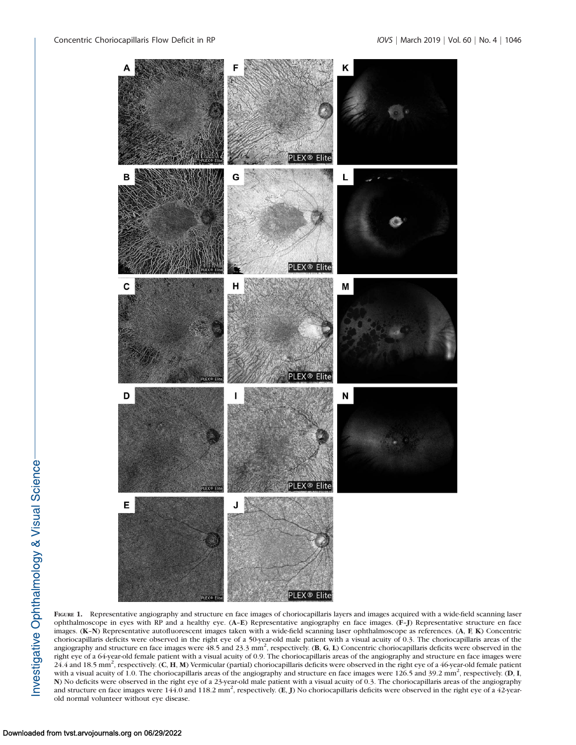

FIGURE 1. Representative angiography and structure en face images of choriocapillaris layers and images acquired with a wide-field scanning laser ophthalmoscope in eyes with RP and a healthy eye. (A–E) Representative angiography en face images. (F–J) Representative structure en face images. (K–N) Representative autofluorescent images taken with a wide-field scanning laser ophthalmoscope as references. (A, F, K) Concentric choriocapillaris deficits were observed in the right eye of a 50-year-old male patient with a visual acuity of 0.3. The choriocapillaris areas of the angiography and structure en face images were  $48.5$  and  $23.3$  mm<sup>2</sup>, respectively. (B, G, L) Concentric choriocapillaris deficits were observed in the right eye of a 64-year-old female patient with a visual acuity of 0.9. The choriocapillaris areas of the angiography and structure en face images were 24.4 and 18.5 mm2 , respectively. (C, H, M) Vermicular (partial) choriocapillaris deficits were observed in the right eye of a 46-year-old female patient with a visual acuity of 1.0. The choriocapillaris areas of the angiography and structure en face images were  $126.5$  and  $39.2$  mm<sup>2</sup>, respectively. (D, I, N) No deficits were observed in the right eye of a 23-year-old male patient with a visual acuity of 0.3. The choriocapillaris areas of the angiography and structure en face images were 144.0 and 118.2 mm<sup>2</sup>, respectively. (E, J) No choriocapillaris deficits were observed in the right eye of a 42-yearold normal volunteer without eye disease.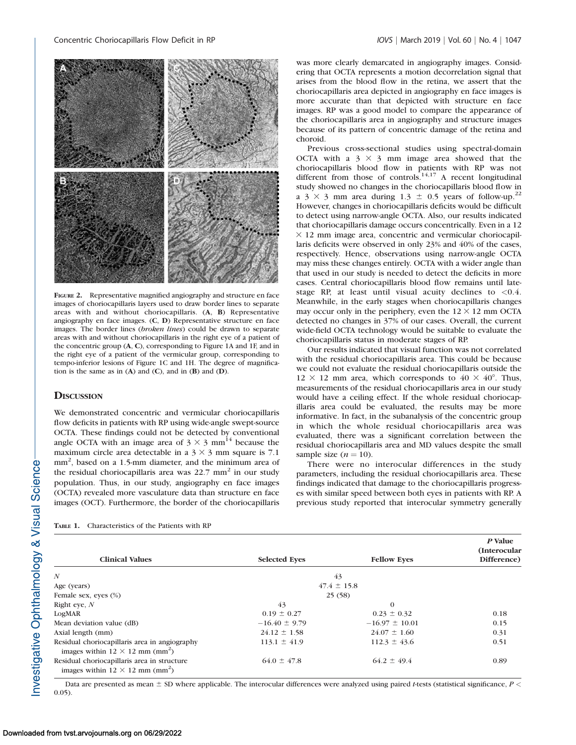

FIGURE 2. Representative magnified angiography and structure en face images of choriocapillaris layers used to draw border lines to separate areas with and without choriocapillaris. (A, B) Representative angiography en face images. (C, D) Representative structure en face images. The border lines (broken lines) could be drawn to separate areas with and without choriocapillaris in the right eye of a patient of the concentric group (A, C), corresponding to Figure 1A and 1F, and in the right eye of a patient of the vermicular group, corresponding to tempo-inferior lesions of Figure 1C and 1H. The degree of magnification is the same as in  $(A)$  and  $(C)$ , and in  $(B)$  and  $(D)$ .

## **DISCUSSION**

We demonstrated concentric and vermicular choriocapillaris flow deficits in patients with RP using wide-angle swept-source OCTA. These findings could not be detected by conventional angle OCTA with an image area of  $3 \times 3$  mm<sup>14</sup> because the maximum circle area detectable in a  $3 \times 3$  mm square is 7.1 mm<sup>2</sup>, based on a 1.5-mm diameter, and the minimum area of the residual choriocapillaris area was  $22.7 \text{ mm}^2$  in our study population. Thus, in our study, angiography en face images (OCTA) revealed more vasculature data than structure en face images (OCT). Furthermore, the border of the choriocapillaris was more clearly demarcated in angiography images. Considering that OCTA represents a motion decorrelation signal that arises from the blood flow in the retina, we assert that the choriocapillaris area depicted in angiography en face images is more accurate than that depicted with structure en face images. RP was a good model to compare the appearance of the choriocapillaris area in angiography and structure images because of its pattern of concentric damage of the retina and choroid.

Previous cross-sectional studies using spectral-domain OCTA with a  $3 \times 3$  mm image area showed that the choriocapillaris blood flow in patients with RP was not different from those of controls.<sup>14,17</sup> A recent longitudinal study showed no changes in the choriocapillaris blood flow in a 3  $\times$  3 mm area during 1.3  $\pm$  0.5 years of follow-up.<sup>22</sup> However, changes in choriocapillaris deficits would be difficult to detect using narrow-angle OCTA. Also, our results indicated that choriocapillaris damage occurs concentrically. Even in a 12  $\times$  12 mm image area, concentric and vermicular choriocapillaris deficits were observed in only 23% and 40% of the cases, respectively. Hence, observations using narrow-angle OCTA may miss these changes entirely. OCTA with a wider angle than that used in our study is needed to detect the deficits in more cases. Central choriocapillaris blood flow remains until latestage RP, at least until visual acuity declines to  $< 0.4$ . Meanwhile, in the early stages when choriocapillaris changes may occur only in the periphery, even the  $12 \times 12$  mm OCTA detected no changes in 37% of our cases. Overall, the current wide-field OCTA technology would be suitable to evaluate the choriocapillaris status in moderate stages of RP.

Our results indicated that visual function was not correlated with the residual choriocapillaris area. This could be because we could not evaluate the residual choriocapillaris outside the  $12 \times 12$  mm area, which corresponds to  $40 \times 40^{\circ}$ . Thus, measurements of the residual choriocapillaris area in our study would have a ceiling effect. If the whole residual choriocapillaris area could be evaluated, the results may be more informative. In fact, in the subanalysis of the concentric group in which the whole residual choriocapillaris area was evaluated, there was a significant correlation between the residual choriocapillaris area and MD values despite the small sample size  $(n = 10)$ .

There were no interocular differences in the study parameters, including the residual choriocapillaris area. These findings indicated that damage to the choriocapillaris progresses with similar speed between both eyes in patients with RP. A previous study reported that interocular symmetry generally

| <b>TABLE 1.</b> | Characteristics of the Patients with RP |  |  |  |  |
|-----------------|-----------------------------------------|--|--|--|--|
|-----------------|-----------------------------------------|--|--|--|--|

| <b>Clinical Values</b>                                                                              | <b>Selected Eves</b> | <b>Fellow Eves</b> | P Value<br>(Interocular<br>Difference) |
|-----------------------------------------------------------------------------------------------------|----------------------|--------------------|----------------------------------------|
| $\boldsymbol{N}$                                                                                    |                      | 43                 |                                        |
| Age (years)                                                                                         |                      | $47.4 \pm 15.8$    |                                        |
| Female sex, eyes (%)                                                                                |                      | 25(58)             |                                        |
| Right eye, $N$                                                                                      | 43                   | $\Omega$           |                                        |
| LogMAR                                                                                              | $0.19 \pm 0.27$      | $0.23 \pm 0.32$    | 0.18                                   |
| Mean deviation value (dB)                                                                           | $-16.40 \pm 9.79$    | $-16.97 \pm 10.01$ | 0.15                                   |
| Axial length (mm)                                                                                   | $24.12 \pm 1.58$     | $24.07 \pm 1.60$   | 0.31                                   |
| Residual choriocapillaris area in angiography<br>images within $12 \times 12$ mm (mm <sup>2</sup> ) | $113.1 \pm 41.9$     | $112.3 \pm 43.6$   | 0.51                                   |
| Residual choriocapillaris area in structure<br>images within $12 \times 12$ mm (mm <sup>2</sup> )   | $64.0 \pm 47.8$      | $64.2 \pm 49.4$    | 0.89                                   |

Data are presented as mean  $\pm$  SD where applicable. The interocular differences were analyzed using paired t-tests (statistical significance,  $P$  < 0.05).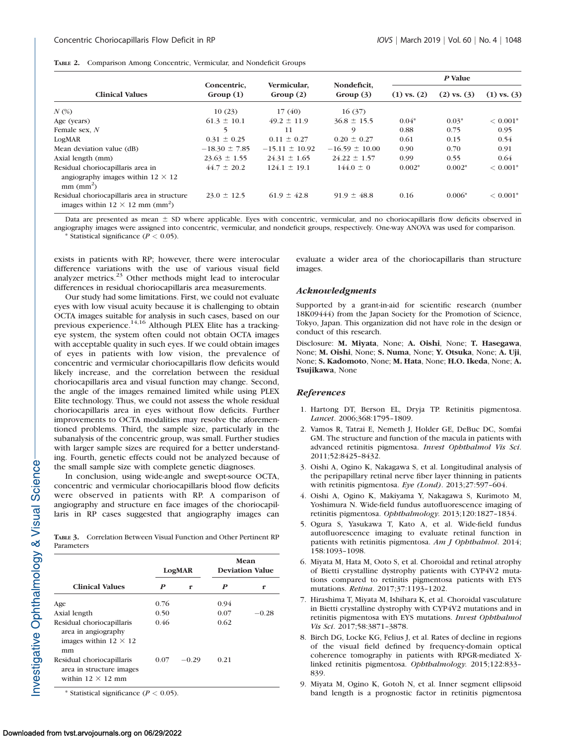|  | TABLE 2. Comparison Among Concentric, Vermicular, and Nondeficit Groups |  |  |  |  |
|--|-------------------------------------------------------------------------|--|--|--|--|
|--|-------------------------------------------------------------------------|--|--|--|--|

|                                                                                                   | Concentric,<br>Group(1) | Vermicular,<br>Group(2) | Nondeficit,<br>Group $(3)$ | P Value         |                 |                 |
|---------------------------------------------------------------------------------------------------|-------------------------|-------------------------|----------------------------|-----------------|-----------------|-----------------|
| <b>Clinical Values</b>                                                                            |                         |                         |                            | $(1)$ vs. $(2)$ | $(2)$ vs. $(3)$ | $(1)$ vs. $(3)$ |
| $N$ $\left(\% \right)$                                                                            | 10(23)                  | 17(40)                  | 16(37)                     |                 |                 |                 |
| Age (years)                                                                                       | $61.3 \pm 10.1$         | $49.2 \pm 11.9$         | $36.8 \pm 15.5$            | $0.04*$         | $0.03*$         | $< 0.001*$      |
| Female sex, N                                                                                     | 5                       | 11                      | 9                          | 0.88            | 0.75            | 0.95            |
| LogMAR                                                                                            | $0.31 \pm 0.25$         | $0.11 \pm 0.27$         | $0.20 \pm 0.27$            | 0.61            | 0.15            | 0.54            |
| Mean deviation value (dB)                                                                         | $-18.30 \pm 7.85$       | $-15.11 \pm 10.92$      | $-16.59 \pm 10.00$         | 0.90            | 0.70            | 0.91            |
| Axial length (mm)                                                                                 | $23.63 \pm 1.55$        | $24.31 \pm 1.65$        | $24.22 \pm 1.57$           | 0.99            | 0.55            | 0.64            |
| Residual choriocapillaris area in<br>angiography images within $12 \times 12$<br>$mm$ ( $mm^2$ )  | $44.7 \pm 20.2$         | $124.1 \pm 19.1$        | $144.0 \pm 0$              | $0.002*$        | $0.002*$        | $< 0.001*$      |
| Residual choriocapillaris area in structure<br>images within $12 \times 12$ mm (mm <sup>2</sup> ) | $23.0 \pm 12.5$         | $61.9 \pm 42.8$         | $91.9 \pm 48.8$            | 0.16            | $0.006*$        | $< 0.001*$      |

Data are presented as mean  $\pm$  SD where applicable. Eyes with concentric, vermicular, and no choriocapillaris flow deficits observed in angiography images were assigned into concentric, vermicular, and nondeficit groups, respectively. One-way ANOVA was used for comparison.

\* Statistical significance  $(P < 0.05)$ .

exists in patients with RP; however, there were interocular difference variations with the use of various visual field analyzer metrics.<sup>23</sup> Other methods might lead to interocular differences in residual choriocapillaris area measurements.

Our study had some limitations. First, we could not evaluate eyes with low visual acuity because it is challenging to obtain OCTA images suitable for analysis in such cases, based on our previous experience.14,16 Although PLEX Elite has a trackingeye system, the system often could not obtain OCTA images with acceptable quality in such eyes. If we could obtain images of eyes in patients with low vision, the prevalence of concentric and vermicular choriocapillaris flow deficits would likely increase, and the correlation between the residual choriocapillaris area and visual function may change. Second, the angle of the images remained limited while using PLEX Elite technology. Thus, we could not assess the whole residual choriocapillaris area in eyes without flow deficits. Further improvements to OCTA modalities may resolve the aforementioned problems. Third, the sample size, particularly in the subanalysis of the concentric group, was small. Further studies with larger sample sizes are required for a better understanding. Fourth, genetic effects could not be analyzed because of the small sample size with complete genetic diagnoses.

In conclusion, using wide-angle and swept-source OCTA, concentric and vermicular choriocapillaris blood flow deficits were observed in patients with RP. A comparison of angiography and structure en face images of the choriocapillaris in RP cases suggested that angiography images can

TABLE 3. Correlation Between Visual Function and Other Pertinent RP Parameters

|                                                                                        | LogMAR |         | Mean<br><b>Deviation Value</b> |         |
|----------------------------------------------------------------------------------------|--------|---------|--------------------------------|---------|
| <b>Clinical Values</b>                                                                 | P      | r       | P                              | r       |
| Age                                                                                    | 0.76   |         | 0.94                           |         |
| Axial length                                                                           | 0.50   |         | 0.07                           | $-0.28$ |
| Residual choriocapillaris<br>area in angiography<br>images within $12 \times 12$<br>mm | 0.46   |         | 0.62                           |         |
| Residual choriocapillaris<br>area in structure images<br>within $12 \times 12$ mm      | 0.07   | $-0.29$ | 0.21                           |         |

\* Statistical significance ( $P < 0.05$ ).

evaluate a wider area of the choriocapillaris than structure images.

#### Acknowledgments

Supported by a grant-in-aid for scientific research (number 18K09444) from the Japan Society for the Promotion of Science, Tokyo, Japan. This organization did not have role in the design or conduct of this research.

Disclosure: M. Miyata, None; A. Oishi, None; T. Hasegawa, None; M. Oishi, None; S. Numa, None; Y. Otsuka, None; A. Uji, None; S. Kadomoto, None; M. Hata, None; H.O. Ikeda, None; A. Tsujikawa, None

#### **References**

- 1. Hartong DT, Berson EL, Dryja TP. Retinitis pigmentosa. Lancet. 2006;368:1795–1809.
- 2. Vamos R, Tatrai E, Nemeth J, Holder GE, DeBuc DC, Somfai GM. The structure and function of the macula in patients with advanced retinitis pigmentosa. Invest Ophthalmol Vis Sci. 2011;52:8425–8432.
- 3. Oishi A, Ogino K, Nakagawa S, et al. Longitudinal analysis of the peripapillary retinal nerve fiber layer thinning in patients with retinitis pigmentosa. Eye (Lond). 2013;27:597–604.
- 4. Oishi A, Ogino K, Makiyama Y, Nakagawa S, Kurimoto M, Yoshimura N. Wide-field fundus autofluorescence imaging of retinitis pigmentosa. Ophthalmology. 2013;120:1827–1834.
- 5. Ogura S, Yasukawa T, Kato A, et al. Wide-field fundus autofluorescence imaging to evaluate retinal function in patients with retinitis pigmentosa. Am J Ophthalmol. 2014; 158:1093–1098.
- 6. Miyata M, Hata M, Ooto S, et al. Choroidal and retinal atrophy of Bietti crystalline dystrophy patients with CYP4V2 mutations compared to retinitis pigmentosa patients with EYS mutations. Retina. 2017;37:1193–1202.
- 7. Hirashima T, Miyata M, Ishihara K, et al. Choroidal vasculature in Bietti crystalline dystrophy with CYP4V2 mutations and in retinitis pigmentosa with EYS mutations. Invest Ophthalmol Vis Sci. 2017;58:3871–3878.
- 8. Birch DG, Locke KG, Felius J, et al. Rates of decline in regions of the visual field defined by frequency-domain optical coherence tomography in patients with RPGR-mediated Xlinked retinitis pigmentosa. Ophthalmology. 2015;122:833– 839.
- 9. Miyata M, Ogino K, Gotoh N, et al. Inner segment ellipsoid band length is a prognostic factor in retinitis pigmentosa